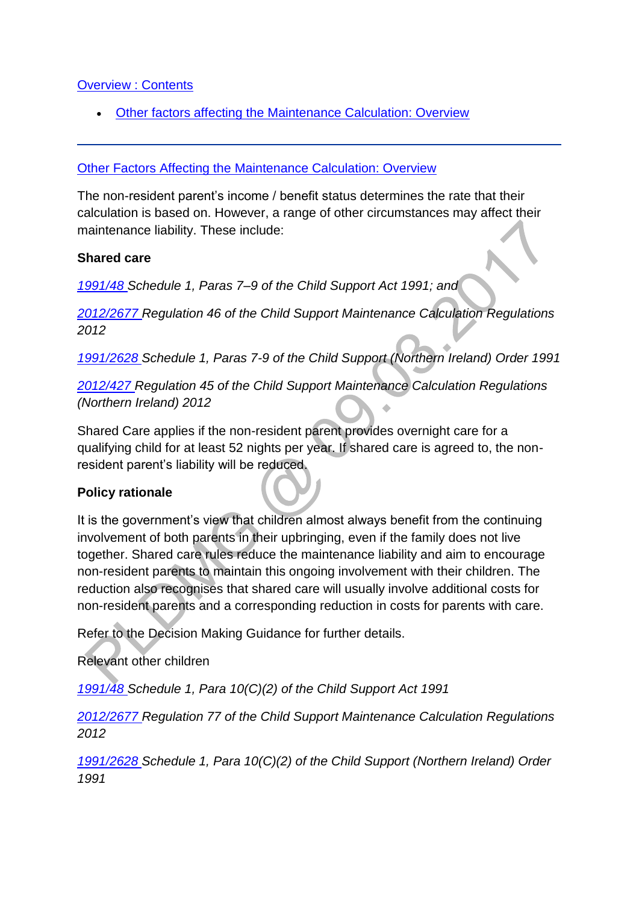### **[Overview : Contents](http://np-cmg-sharepoint.link2.gpn.gov.uk/sites/policy-law-and-decision-making-guidance/Pages/Calculations/Other-Factors-affecting-.aspx)**

[Other factors affecting the Maintenance Calculation: Overview](http://np-cmg-sharepoint.link2.gpn.gov.uk/sites/policy-law-and-decision-making-guidance/Pages/Calculations/Other-Factors-affecting-.aspx#OtherFactorsAffectingMCOverview)

### [Other Factors Affecting the Maintenance Calculation: Overview](http://np-cmg-sharepoint.link2.gpn.gov.uk/sites/policy-law-and-decision-making-guidance/Pages/Calculations/Other-Factors-affecting-.aspx)

The non-resident parent's income / benefit status determines the rate that their calculation is based on. However, a range of other circumstances may affect their maintenance liability. These include:

#### **Shared care**

*[1991/48 S](http://www.legislation.gov.uk/ukpga/1991/48)chedule 1, Paras 7–9 of the Child Support Act 1991; and*

*[2012/2677 R](http://www.legislation.gov.uk/uksi/2012/2677)egulation 46 of the Child Support Maintenance Calculation Regulations 2012* 

*[1991/2628 S](http://www.legislation.gov.uk/nisi/1991/2628/contents)chedule 1, Paras 7-9 of the Child Support (Northern Ireland) Order 1991*

*[2012/427 R](http://www.legislation.gov.uk/nisr/2012/427/contents/made)egulation 45 of the Child Support Maintenance Calculation Regulations (Northern Ireland) 2012*

Shared Care applies if the non-resident parent provides overnight care for a qualifying child for at least 52 nights per year. If shared care is agreed to, the nonresident parent's liability will be reduced.

## **Policy rationale**

It is the government's view that children almost always benefit from the continuing involvement of both parents in their upbringing, even if the family does not live together. Shared care rules reduce the maintenance liability and aim to encourage non-resident parents to maintain this ongoing involvement with their children. The reduction also recognises that shared care will usually involve additional costs for non-resident parents and a corresponding reduction in costs for parents with care.

Refer to the Decision Making Guidance for further details.

Relevant other children

*[1991/48 S](http://www.legislation.gov.uk/ukpga/1991/48)chedule 1, Para 10(C)(2) of the Child Support Act 1991* 

*[2012/2677 R](http://www.legislation.gov.uk/uksi/2012/2677)egulation 77 of the Child Support Maintenance Calculation Regulations 2012*

*[1991/2628 S](http://www.legislation.gov.uk/nisi/1991/2628/contents)chedule 1, Para 10(C)(2) of the Child Support (Northern Ireland) Order 1991*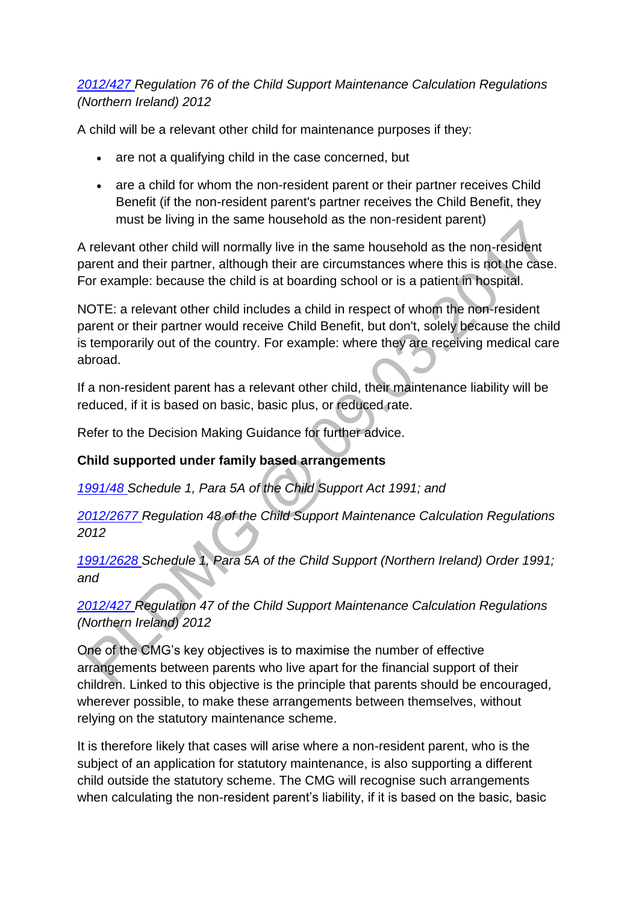# *[2012/427 R](http://www.legislation.gov.uk/nisr/2012/427/contents/made)egulation 76 of the Child Support Maintenance Calculation Regulations (Northern Ireland) 2012*

A child will be a relevant other child for maintenance purposes if they:

- are not a qualifying child in the case concerned, but
- are a child for whom the non-resident parent or their partner receives Child Benefit (if the non-resident parent's partner receives the Child Benefit, they must be living in the same household as the non-resident parent)

A relevant other child will normally live in the same household as the non-resident parent and their partner, although their are circumstances where this is not the case. For example: because the child is at boarding school or is a patient in hospital.

NOTE: a relevant other child includes a child in respect of whom the non-resident parent or their partner would receive Child Benefit, but don't, solely because the child is temporarily out of the country. For example: where they are receiving medical care abroad.

If a non-resident parent has a relevant other child, their maintenance liability will be reduced, if it is based on basic, basic plus, or reduced rate.

Refer to the Decision Making Guidance for further advice.

# **Child supported under family based arrangements**

*[1991/48 S](http://www.legislation.gov.uk/ukpga/1991/48)chedule 1, Para 5A of the Child Support Act 1991; and*

*[2012/2677 R](http://www.legislation.gov.uk/uksi/2012/2677)egulation 48 of the Child Support Maintenance Calculation Regulations 2012*

*[1991/2628 S](http://www.legislation.gov.uk/nisi/1991/2628/contents)chedule 1, Para 5A of the Child Support (Northern Ireland) Order 1991; and*

*[2012/427 R](http://www.legislation.gov.uk/nisr/2012/427/contents/made)egulation 47 of the Child Support Maintenance Calculation Regulations (Northern Ireland) 2012*

One of the CMG's key objectives is to maximise the number of effective arrangements between parents who live apart for the financial support of their children. Linked to this objective is the principle that parents should be encouraged, wherever possible, to make these arrangements between themselves, without relying on the statutory maintenance scheme.

It is therefore likely that cases will arise where a non-resident parent, who is the subject of an application for statutory maintenance, is also supporting a different child outside the statutory scheme. The CMG will recognise such arrangements when calculating the non-resident parent's liability, if it is based on the basic, basic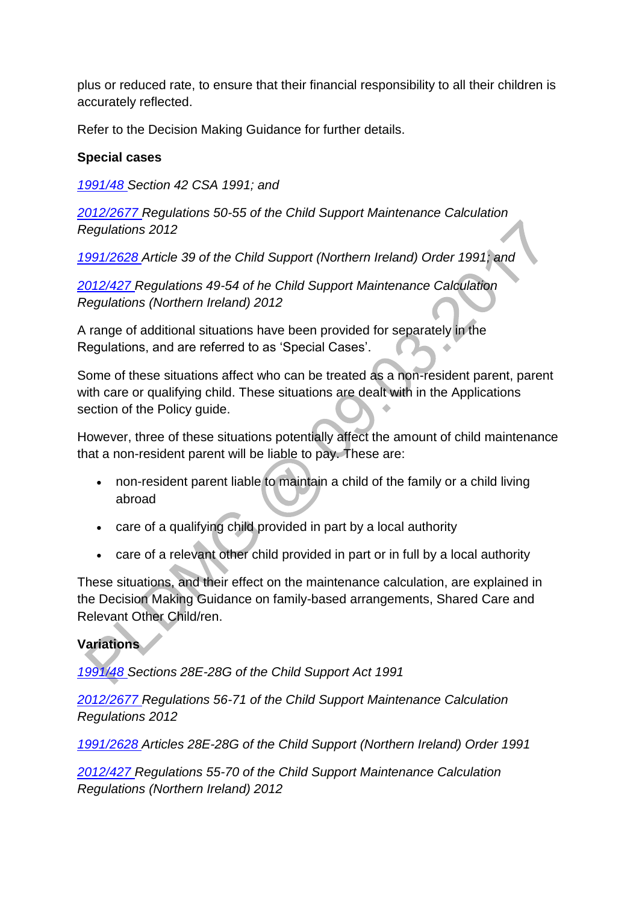plus or reduced rate, to ensure that their financial responsibility to all their children is accurately reflected.

Refer to the Decision Making Guidance for further details.

# **Special cases**

*[1991/48 S](http://www.legislation.gov.uk/ukpga/1991/48)ection 42 CSA 1991; and*

*[2012/2677 R](http://www.legislation.gov.uk/uksi/2012/2677)egulations 50-55 of the Child Support Maintenance Calculation Regulations 2012*

*[1991/2628 A](http://www.legislation.gov.uk/nisi/1991/2628/contents)rticle 39 of the Child Support (Northern Ireland) Order 1991; and*

*[2012/427 R](http://www.legislation.gov.uk/nisr/2012/427/contents/made)egulations 49-54 of he Child Support Maintenance Calculation Regulations (Northern Ireland) 2012* 

A range of additional situations have been provided for separately in the Regulations, and are referred to as 'Special Cases'.

Some of these situations affect who can be treated as a non-resident parent, parent with care or qualifying child. These situations are dealt with in the Applications section of the Policy guide.

However, three of these situations potentially affect the amount of child maintenance that a non-resident parent will be liable to pay. These are:

- non-resident parent liable to maintain a child of the family or a child living abroad
- care of a qualifying child provided in part by a local authority
- care of a relevant other child provided in part or in full by a local authority

These situations, and their effect on the maintenance calculation, are explained in the Decision Making Guidance on family-based arrangements, Shared Care and Relevant Other Child/ren.

## **Variations**

*[1991/48 S](http://www.legislation.gov.uk/ukpga/1991/48)ections 28E-28G of the Child Support Act 1991*

*[2012/2677 R](http://www.legislation.gov.uk/uksi/2012/2677)egulations 56-71 of the Child Support Maintenance Calculation Regulations 2012*

*[1991/2628 A](http://www.legislation.gov.uk/nisi/1991/2628/contents)rticles 28E-28G of the Child Support (Northern Ireland) Order 1991*

*[2012/427 R](http://www.legislation.gov.uk/nisr/2012/427/contents/made)egulations 55-70 of the Child Support Maintenance Calculation Regulations (Northern Ireland) 2012*